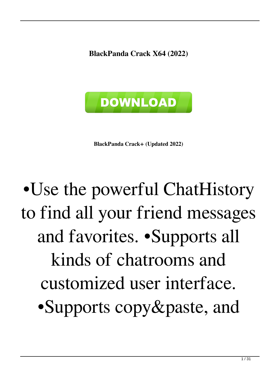**BlackPanda Crack X64 (2022)**



**BlackPanda Crack+ (Updated 2022)**

# •Use the powerful ChatHistory to find all your friend messages and favorites. •Supports all kinds of chatrooms and customized user interface. •Supports copy&paste, and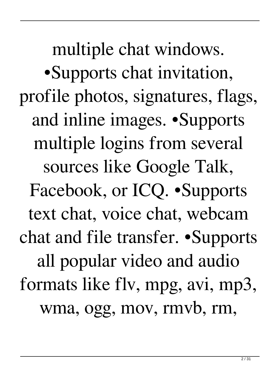multiple chat windows. •Supports chat invitation, profile photos, signatures, flags, and inline images. •Supports multiple logins from several sources like Google Talk, Facebook, or ICQ. •Supports text chat, voice chat, webcam chat and file transfer. •Supports all popular video and audio formats like flv, mpg, avi, mp3, wma, ogg, mov, rmvb, rm,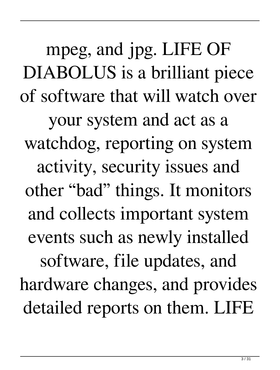mpeg, and jpg. LIFE OF DIABOLUS is a brilliant piece of software that will watch over your system and act as a watchdog, reporting on system activity, security issues and other "bad" things. It monitors and collects important system events such as newly installed software, file updates, and hardware changes, and provides detailed reports on them. LIFE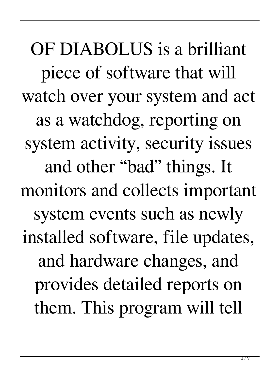OF DIABOLUS is a brilliant piece of software that will watch over your system and act as a watchdog, reporting on system activity, security issues and other "bad" things. It monitors and collects important system events such as newly installed software, file updates, and hardware changes, and provides detailed reports on them. This program will tell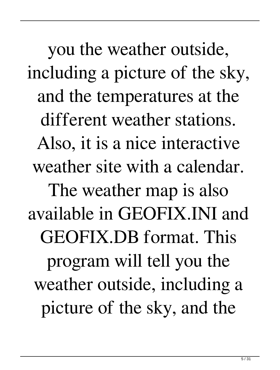you the weather outside, including a picture of the sky, and the temperatures at the different weather stations. Also, it is a nice interactive weather site with a calendar. The weather map is also available in GEOFIX.INI and GEOFIX.DB format. This program will tell you the weather outside, including a picture of the sky, and the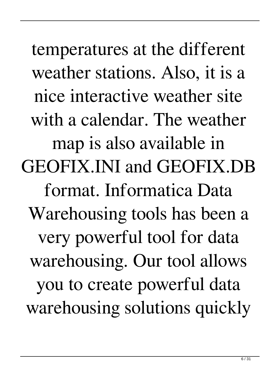temperatures at the different weather stations. Also, it is a nice interactive weather site with a calendar. The weather map is also available in GEOFIX.INI and GEOFIX.DB format. Informatica Data Warehousing tools has been a very powerful tool for data warehousing. Our tool allows you to create powerful data warehousing solutions quickly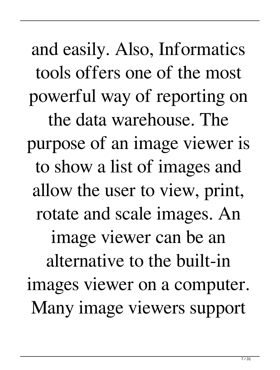and easily. Also, Informatics tools offers one of the most powerful way of reporting on the data warehouse. The purpose of an image viewer is to show a list of images and allow the user to view, print, rotate and scale images. An image viewer can be an alternative to the built-in images viewer on a computer. Many image viewers support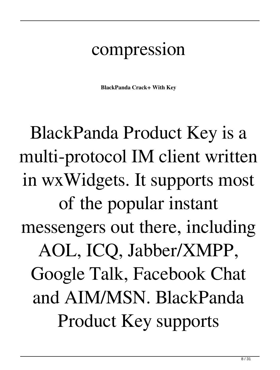#### compression

**BlackPanda Crack+ With Key**

BlackPanda Product Key is a multi-protocol IM client written in wxWidgets. It supports most of the popular instant messengers out there, including AOL, ICQ, Jabber/XMPP, Google Talk, Facebook Chat and AIM/MSN. BlackPanda Product Key supports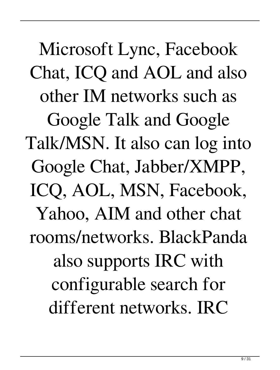Microsoft Lync, Facebook Chat, ICQ and AOL and also other IM networks such as Google Talk and Google Talk/MSN. It also can log into Google Chat, Jabber/XMPP, ICQ, AOL, MSN, Facebook, Yahoo, AIM and other chat rooms/networks. BlackPanda also supports IRC with configurable search for different networks. IRC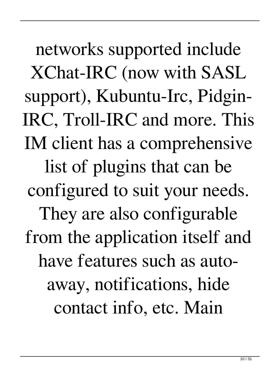networks supported include XChat-IRC (now with SASL support), Kubuntu-Irc, Pidgin-IRC, Troll-IRC and more. This IM client has a comprehensive list of plugins that can be configured to suit your needs. They are also configurable from the application itself and have features such as autoaway, notifications, hide contact info, etc. Main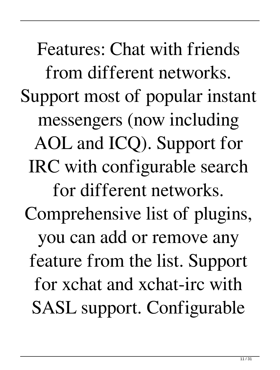Features: Chat with friends from different networks. Support most of popular instant messengers (now including AOL and ICQ). Support for IRC with configurable search for different networks. Comprehensive list of plugins, you can add or remove any feature from the list. Support for xchat and xchat-irc with SASL support. Configurable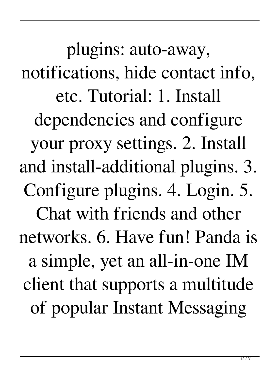plugins: auto-away, notifications, hide contact info, etc. Tutorial: 1. Install dependencies and configure your proxy settings. 2. Install and install-additional plugins. 3. Configure plugins. 4. Login. 5. Chat with friends and other networks. 6. Have fun! Panda is a simple, yet an all-in-one IM client that supports a multitude of popular Instant Messaging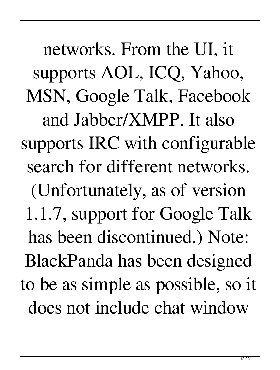networks. From the UI, it supports AOL, ICQ, Yahoo, MSN, Google Talk, Facebook and Jabber/XMPP. It also supports IRC with configurable search for different networks. (Unfortunately, as of version 1.1.7, support for Google Talk has been discontinued.) Note: BlackPanda has been designed to be as simple as possible, so it does not include chat window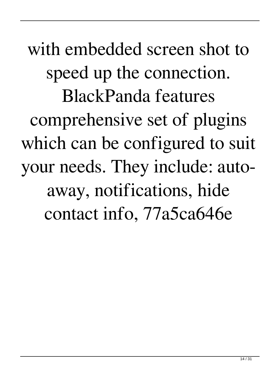with embedded screen shot to speed up the connection. BlackPanda features comprehensive set of plugins which can be configured to suit your needs. They include: autoaway, notifications, hide contact info, 77a5ca646e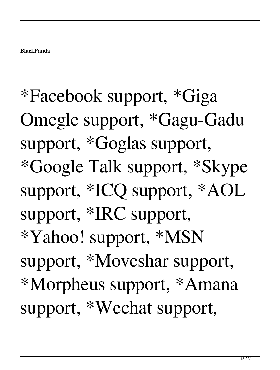\*Facebook support, \*Giga Omegle support, \*Gagu-Gadu support, \*Goglas support, \*Google Talk support, \*Skype support, \*ICQ support, \*AOL support, \*IRC support, \*Yahoo! support, \*MSN support, \*Moveshar support, \*Morpheus support, \*Amana support, \*Wechat support,

**BlackPanda**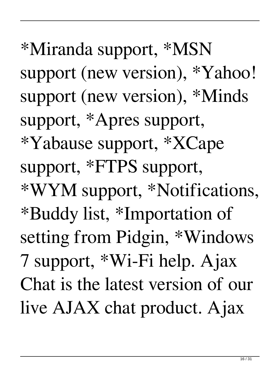support (new version), \*Yahoo! support (new version), \*Minds support, \*Apres support, \*Yabause support, \*XCape support, \*FTPS support, \*WYM support, \*Notifications, \*Buddy list, \*Importation of setting from Pidgin, \*Windows 7 support, \*Wi-Fi help. Ajax Chat is the latest version of our live AJAX chat product. Ajax

\*Miranda support, \*MSN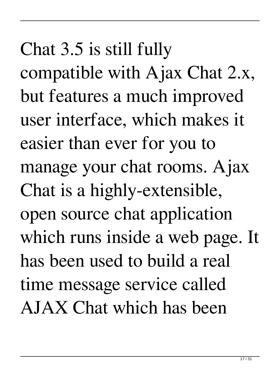Chat 3.5 is still fully compatible with Ajax Chat 2.x, but features a much improved user interface, which makes it easier than ever for you to manage your chat rooms. Ajax Chat is a highly-extensible, open source chat application which runs inside a web page. It has been used to build a real time message service called AJAX Chat which has been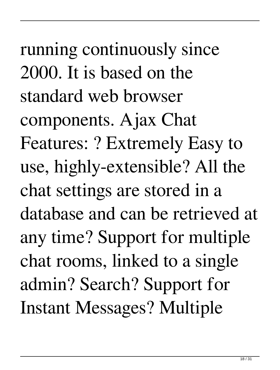running continuously since 2000. It is based on the standard web browser components. Ajax Chat Features: ? Extremely Easy to use, highly-extensible? All the chat settings are stored in a database and can be retrieved at any time? Support for multiple chat rooms, linked to a single admin? Search? Support for Instant Messages? Multiple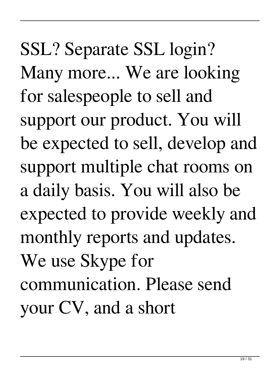SSL? Separate SSL login? Many more... We are looking for salespeople to sell and support our product. You will be expected to sell, develop and support multiple chat rooms on a daily basis. You will also be expected to provide weekly and monthly reports and updates. We use Skype for communication. Please send your CV, and a short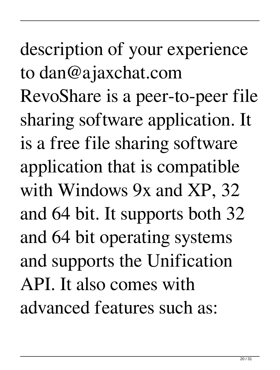description of your experience to dan@ajaxchat.com RevoShare is a peer-to-peer file sharing software application. It is a free file sharing software application that is compatible with Windows 9x and XP, 32 and 64 bit. It supports both 32 and 64 bit operating systems and supports the Unification API. It also comes with advanced features such as: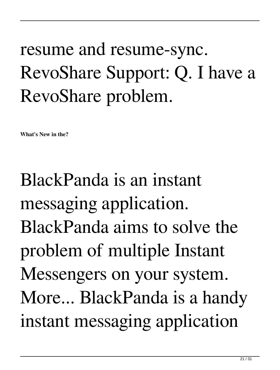#### resume and resume-sync. RevoShare Support: Q. I have a RevoShare problem.

**What's New in the?**

BlackPanda is an instant messaging application. BlackPanda aims to solve the problem of multiple Instant Messengers on your system. More... BlackPanda is a handy instant messaging application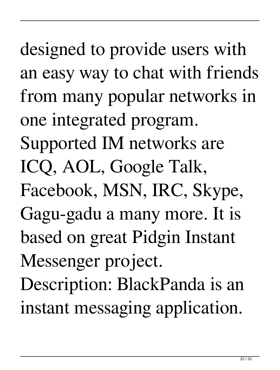designed to provide users with an easy way to chat with friends from many popular networks in one integrated program. Supported IM networks are ICQ, AOL, Google Talk, Facebook, MSN, IRC, Skype, Gagu-gadu a many more. It is based on great Pidgin Instant Messenger project. Description: BlackPanda is an instant messaging application.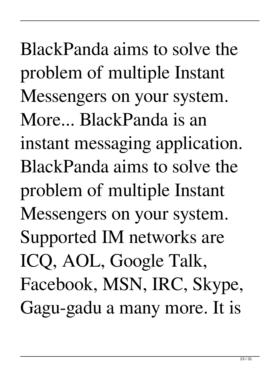BlackPanda aims to solve the problem of multiple Instant Messengers on your system. More... BlackPanda is an instant messaging application. BlackPanda aims to solve the problem of multiple Instant Messengers on your system. Supported IM networks are ICQ, AOL, Google Talk, Facebook, MSN, IRC, Skype, Gagu-gadu a many more. It is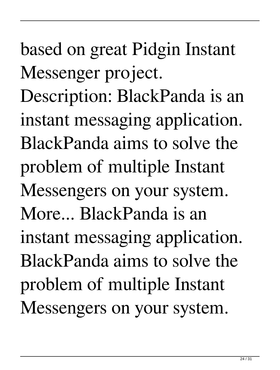based on great Pidgin Instant Messenger project. Description: BlackPanda is an instant messaging application. BlackPanda aims to solve the problem of multiple Instant Messengers on your system. More... BlackPanda is an instant messaging application. BlackPanda aims to solve the problem of multiple Instant Messengers on your system.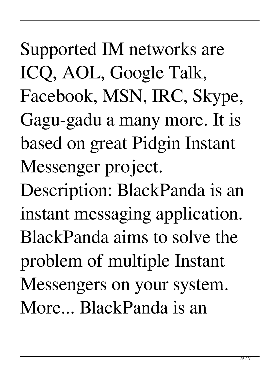Supported IM networks are ICQ, AOL, Google Talk, Facebook, MSN, IRC, Skype, Gagu-gadu a many more. It is based on great Pidgin Instant Messenger project.

Description: BlackPanda is an instant messaging application. BlackPanda aims to solve the problem of multiple Instant Messengers on your system. More... BlackPanda is an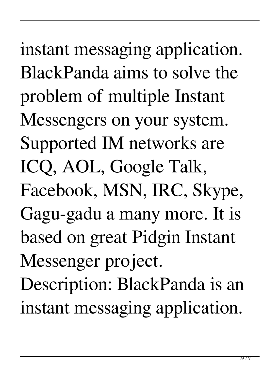instant messaging application. BlackPanda aims to solve the problem of multiple Instant Messengers on your system. Supported IM networks are ICQ, AOL, Google Talk, Facebook, MSN, IRC, Skype, Gagu-gadu a many more. It is based on great Pidgin Instant Messenger project. Description: BlackPanda is an instant messaging application.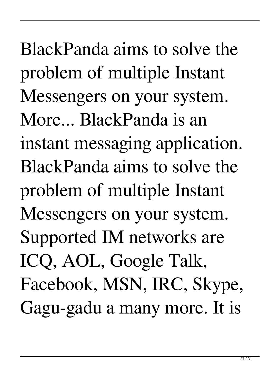BlackPanda aims to solve the problem of multiple Instant Messengers on your system. More... BlackPanda is an instant messaging application. BlackPanda aims to solve the problem of multiple Instant Messengers on your system. Supported IM networks are ICQ, AOL, Google Talk, Facebook, MSN, IRC, Skype, Gagu-gadu a many more. It is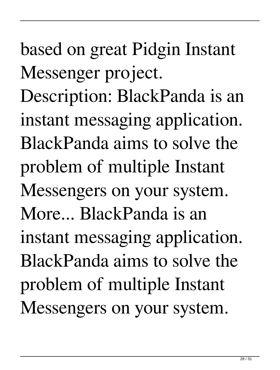based on great Pidgin Instant Messenger project. Description: BlackPanda is an instant messaging application. BlackPanda aims to solve the problem of multiple Instant Messengers on your system. More... BlackPanda is an instant messaging application. BlackPanda aims to solve the problem of multiple Instant Messengers on your system.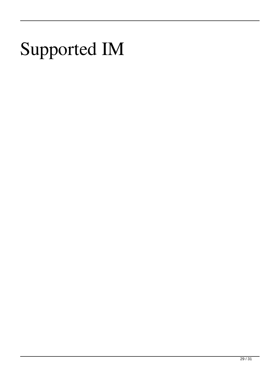### Supported IM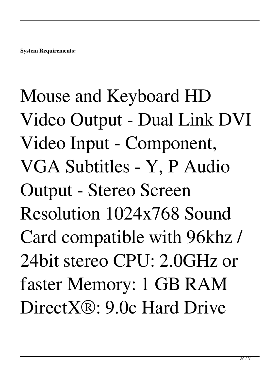# Mouse and Keyboard HD Video Output - Dual Link DVI Video Input - Component, VGA Subtitles - Y, P Audio Output - Stereo Screen Resolution 1024x768 Sound Card compatible with 96khz / 24bit stereo CPU: 2.0GHz or faster Memory: 1 GB RAM DirectX®: 9.0c Hard Drive